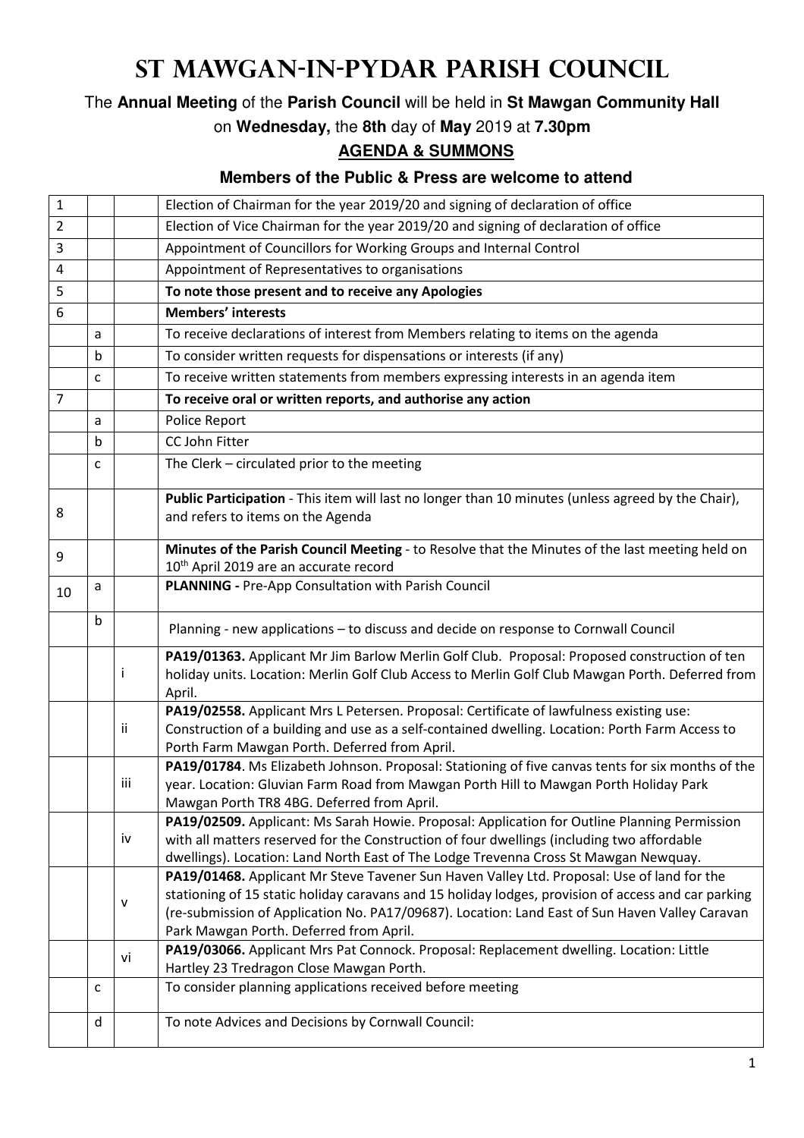## **St Mawgan-in-Pydar Parish Council**

The **Annual Meeting** of the **Parish Council** will be held in **St Mawgan Community Hall**

on **Wednesday,** the **8th** day of **May** 2019 at **7.30pm**

## **AGENDA & SUMMONS**

## **Members of the Public & Press are welcome to attend**

| $\mathbf{1}$   |   |     | Election of Chairman for the year 2019/20 and signing of declaration of office                                                                                                                                                                                                                                                                 |
|----------------|---|-----|------------------------------------------------------------------------------------------------------------------------------------------------------------------------------------------------------------------------------------------------------------------------------------------------------------------------------------------------|
| $\overline{2}$ |   |     | Election of Vice Chairman for the year 2019/20 and signing of declaration of office                                                                                                                                                                                                                                                            |
| 3              |   |     | Appointment of Councillors for Working Groups and Internal Control                                                                                                                                                                                                                                                                             |
| 4              |   |     | Appointment of Representatives to organisations                                                                                                                                                                                                                                                                                                |
| 5              |   |     | To note those present and to receive any Apologies                                                                                                                                                                                                                                                                                             |
| 6              |   |     | <b>Members' interests</b>                                                                                                                                                                                                                                                                                                                      |
|                | a |     | To receive declarations of interest from Members relating to items on the agenda                                                                                                                                                                                                                                                               |
|                | b |     | To consider written requests for dispensations or interests (if any)                                                                                                                                                                                                                                                                           |
|                | c |     | To receive written statements from members expressing interests in an agenda item                                                                                                                                                                                                                                                              |
| $\overline{7}$ |   |     | To receive oral or written reports, and authorise any action                                                                                                                                                                                                                                                                                   |
|                | a |     | Police Report                                                                                                                                                                                                                                                                                                                                  |
|                | b |     | CC John Fitter                                                                                                                                                                                                                                                                                                                                 |
|                | c |     | The Clerk - circulated prior to the meeting                                                                                                                                                                                                                                                                                                    |
| 8              |   |     | Public Participation - This item will last no longer than 10 minutes (unless agreed by the Chair),<br>and refers to items on the Agenda                                                                                                                                                                                                        |
| 9              |   |     | Minutes of the Parish Council Meeting - to Resolve that the Minutes of the last meeting held on<br>10 <sup>th</sup> April 2019 are an accurate record                                                                                                                                                                                          |
| 10             | a |     | PLANNING - Pre-App Consultation with Parish Council                                                                                                                                                                                                                                                                                            |
|                | b |     | Planning - new applications - to discuss and decide on response to Cornwall Council                                                                                                                                                                                                                                                            |
|                |   | Ť   | PA19/01363. Applicant Mr Jim Barlow Merlin Golf Club. Proposal: Proposed construction of ten<br>holiday units. Location: Merlin Golf Club Access to Merlin Golf Club Mawgan Porth. Deferred from<br>April.                                                                                                                                     |
|                |   | Ϊİ  | PA19/02558. Applicant Mrs L Petersen. Proposal: Certificate of lawfulness existing use:<br>Construction of a building and use as a self-contained dwelling. Location: Porth Farm Access to<br>Porth Farm Mawgan Porth. Deferred from April.                                                                                                    |
|                |   | iii | PA19/01784. Ms Elizabeth Johnson. Proposal: Stationing of five canvas tents for six months of the<br>year. Location: Gluvian Farm Road from Mawgan Porth Hill to Mawgan Porth Holiday Park<br>Mawgan Porth TR8 4BG. Deferred from April.                                                                                                       |
|                |   | iv  | PA19/02509. Applicant: Ms Sarah Howie. Proposal: Application for Outline Planning Permission<br>with all matters reserved for the Construction of four dwellings (including two affordable<br>dwellings). Location: Land North East of The Lodge Trevenna Cross St Mawgan Newquay.                                                             |
|                |   | v   | PA19/01468. Applicant Mr Steve Tavener Sun Haven Valley Ltd. Proposal: Use of land for the<br>stationing of 15 static holiday caravans and 15 holiday lodges, provision of access and car parking<br>(re-submission of Application No. PA17/09687). Location: Land East of Sun Haven Valley Caravan<br>Park Mawgan Porth. Deferred from April. |
|                |   | vi  | PA19/03066. Applicant Mrs Pat Connock. Proposal: Replacement dwelling. Location: Little<br>Hartley 23 Tredragon Close Mawgan Porth.                                                                                                                                                                                                            |
|                | c |     | To consider planning applications received before meeting                                                                                                                                                                                                                                                                                      |
|                | d |     | To note Advices and Decisions by Cornwall Council:                                                                                                                                                                                                                                                                                             |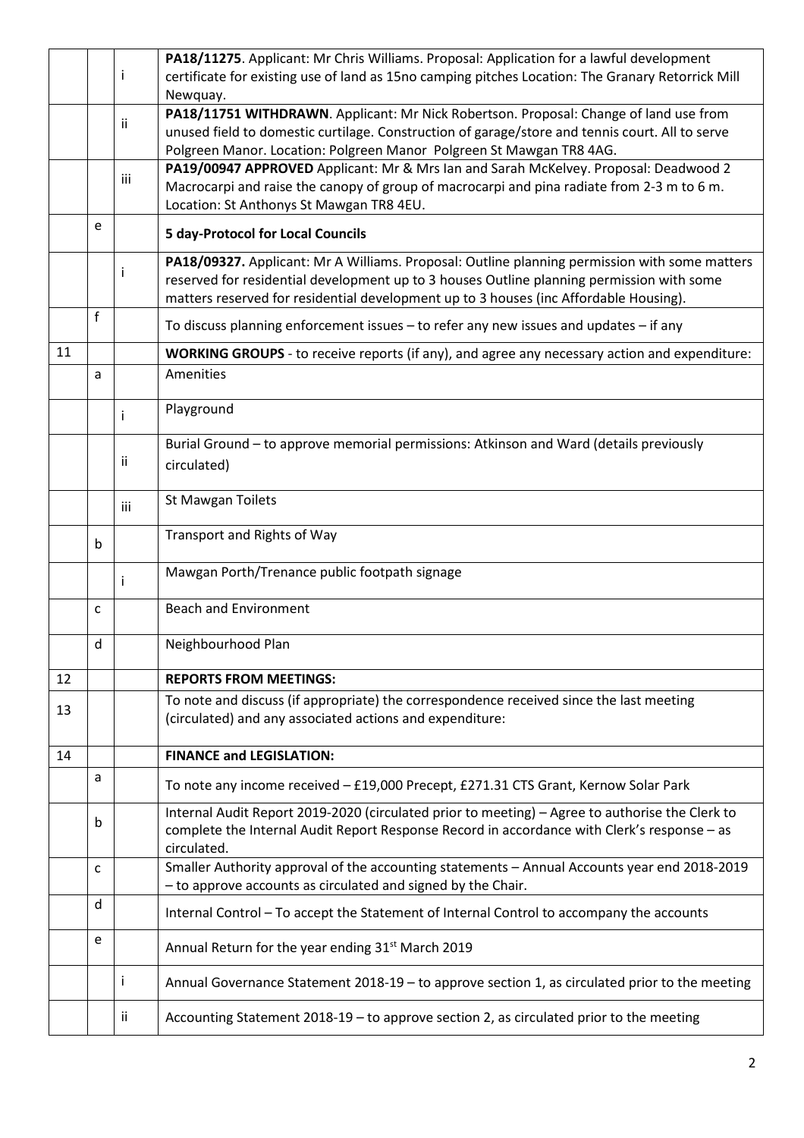|    |   |     | PA18/11275. Applicant: Mr Chris Williams. Proposal: Application for a lawful development                                                                                                 |
|----|---|-----|------------------------------------------------------------------------------------------------------------------------------------------------------------------------------------------|
|    |   | i.  | certificate for existing use of land as 15no camping pitches Location: The Granary Retorrick Mill                                                                                        |
|    |   |     | Newquay.                                                                                                                                                                                 |
|    |   | ii. | PA18/11751 WITHDRAWN. Applicant: Mr Nick Robertson. Proposal: Change of land use from<br>unused field to domestic curtilage. Construction of garage/store and tennis court. All to serve |
|    |   |     | Polgreen Manor. Location: Polgreen Manor Polgreen St Mawgan TR8 4AG.                                                                                                                     |
|    |   |     | PA19/00947 APPROVED Applicant: Mr & Mrs Ian and Sarah McKelvey. Proposal: Deadwood 2                                                                                                     |
|    |   | iii | Macrocarpi and raise the canopy of group of macrocarpi and pina radiate from 2-3 m to 6 m.                                                                                               |
|    |   |     | Location: St Anthonys St Mawgan TR8 4EU.                                                                                                                                                 |
|    | e |     | <b>5 day-Protocol for Local Councils</b>                                                                                                                                                 |
|    |   | Ť   | PA18/09327. Applicant: Mr A Williams. Proposal: Outline planning permission with some matters                                                                                            |
|    |   |     | reserved for residential development up to 3 houses Outline planning permission with some                                                                                                |
|    |   |     | matters reserved for residential development up to 3 houses (inc Affordable Housing).                                                                                                    |
|    | f |     | To discuss planning enforcement issues - to refer any new issues and updates - if any                                                                                                    |
| 11 |   |     | WORKING GROUPS - to receive reports (if any), and agree any necessary action and expenditure:                                                                                            |
|    | a |     | Amenities                                                                                                                                                                                |
|    |   |     | Playground                                                                                                                                                                               |
|    |   | i.  |                                                                                                                                                                                          |
|    |   |     | Burial Ground - to approve memorial permissions: Atkinson and Ward (details previously                                                                                                   |
|    |   | ii. | circulated)                                                                                                                                                                              |
|    |   |     |                                                                                                                                                                                          |
|    |   | iii | St Mawgan Toilets                                                                                                                                                                        |
|    |   |     | Transport and Rights of Way                                                                                                                                                              |
|    | b |     |                                                                                                                                                                                          |
|    |   | i.  | Mawgan Porth/Trenance public footpath signage                                                                                                                                            |
|    | c |     | <b>Beach and Environment</b>                                                                                                                                                             |
|    |   |     |                                                                                                                                                                                          |
|    | d |     | Neighbourhood Plan                                                                                                                                                                       |
| 12 |   |     | <b>REPORTS FROM MEETINGS:</b>                                                                                                                                                            |
|    |   |     | To note and discuss (if appropriate) the correspondence received since the last meeting                                                                                                  |
| 13 |   |     | (circulated) and any associated actions and expenditure:                                                                                                                                 |
|    |   |     |                                                                                                                                                                                          |
| 14 |   |     | <b>FINANCE and LEGISLATION:</b>                                                                                                                                                          |
|    | a |     | To note any income received - £19,000 Precept, £271.31 CTS Grant, Kernow Solar Park                                                                                                      |
|    | b |     | Internal Audit Report 2019-2020 (circulated prior to meeting) - Agree to authorise the Clerk to                                                                                          |
|    |   |     | complete the Internal Audit Report Response Record in accordance with Clerk's response - as                                                                                              |
|    |   |     | circulated.                                                                                                                                                                              |
|    | C |     | Smaller Authority approval of the accounting statements - Annual Accounts year end 2018-2019                                                                                             |
|    |   |     | - to approve accounts as circulated and signed by the Chair.                                                                                                                             |
|    | d |     | Internal Control - To accept the Statement of Internal Control to accompany the accounts                                                                                                 |
|    | e |     | Annual Return for the year ending 31 <sup>st</sup> March 2019                                                                                                                            |
|    |   |     |                                                                                                                                                                                          |
|    |   | j.  | Annual Governance Statement 2018-19 - to approve section 1, as circulated prior to the meeting                                                                                           |
|    |   | Ĭİ. | Accounting Statement 2018-19 - to approve section 2, as circulated prior to the meeting                                                                                                  |